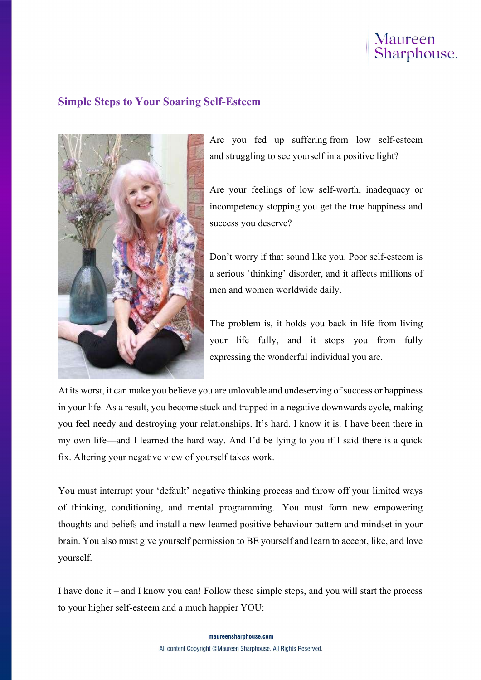## Maureen<br>Sharphouse.

## Simple Steps to Your Soaring Self-Esteem



Are you fed up suffering from low self-esteem and struggling to see yourself in a positive light?

Are your feelings of low self-worth, inadequacy or incompetency stopping you get the true happiness and success you deserve?

Don't worry if that sound like you. Poor self-esteem is a serious 'thinking' disorder, and it affects millions of men and women worldwide daily.

The problem is, it holds you back in life from living your life fully, and it stops you from fully expressing the wonderful individual you are.

At its worst, it can make you believe you are unlovable and undeserving of success or happiness in your life. As a result, you become stuck and trapped in a negative downwards cycle, making you feel needy and destroying your relationships. It's hard. I know it is. I have been there in my own life—and I learned the hard way. And I'd be lying to you if I said there is a quick fix. Altering your negative view of yourself takes work.

You must interrupt your 'default' negative thinking process and throw off your limited ways of thinking, conditioning, and mental programming. You must form new empowering thoughts and beliefs and install a new learned positive behaviour pattern and mindset in your brain. You also must give yourself permission to BE yourself and learn to accept, like, and love yourself.

I have done it – and I know you can! Follow these simple steps, and you will start the process to your higher self-esteem and a much happier YOU: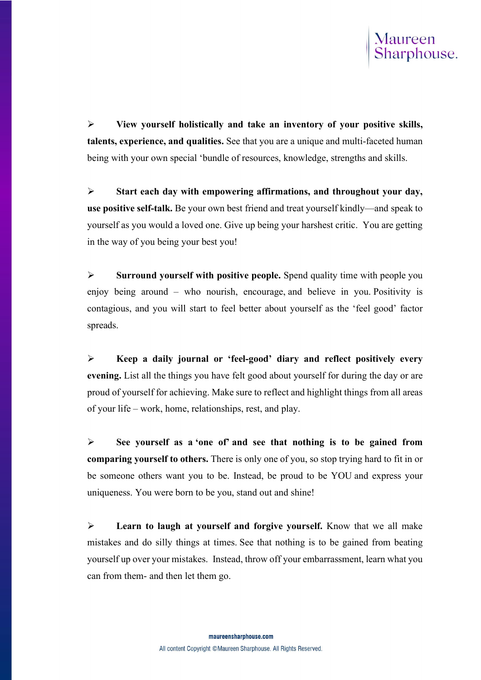

 $\triangleright$  View yourself holistically and take an inventory of your positive skills, talents, experience, and qualities. See that you are a unique and multi-faceted human being with your own special 'bundle of resources, knowledge, strengths and skills.

 $\triangleright$  Start each day with empowering affirmations, and throughout your day, use positive self-talk. Be your own best friend and treat yourself kindly—and speak to yourself as you would a loved one. Give up being your harshest critic. You are getting in the way of you being your best you!

 $\triangleright$  Surround yourself with positive people. Spend quality time with people you enjoy being around – who nourish, encourage, and believe in you. Positivity is contagious, and you will start to feel better about yourself as the 'feel good' factor spreads.

 $\triangleright$  Keep a daily journal or 'feel-good' diary and reflect positively every evening. List all the things you have felt good about yourself for during the day or are proud of yourself for achieving. Make sure to reflect and highlight things from all areas of your life – work, home, relationships, rest, and play.

 $\triangleright$  See yourself as a 'one of' and see that nothing is to be gained from comparing yourself to others. There is only one of you, so stop trying hard to fit in or be someone others want you to be. Instead, be proud to be YOU and express your uniqueness. You were born to be you, stand out and shine!

 $\triangleright$  Learn to laugh at yourself and forgive yourself. Know that we all make mistakes and do silly things at times. See that nothing is to be gained from beating yourself up over your mistakes. Instead, throw off your embarrassment, learn what you can from them- and then let them go.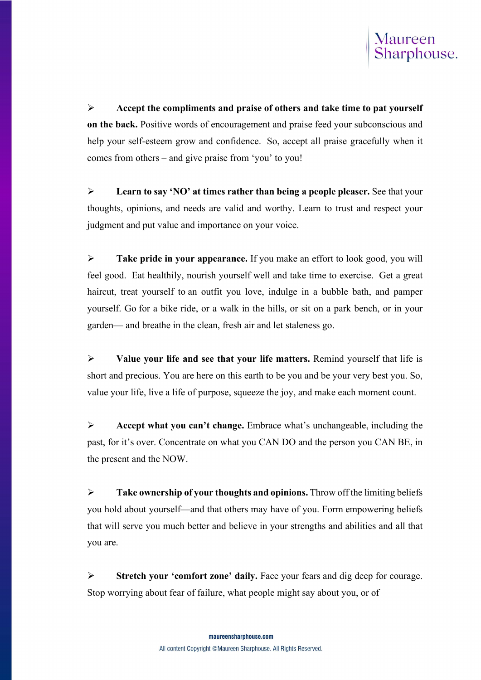

 $\triangleright$  Accept the compliments and praise of others and take time to pat yourself on the back. Positive words of encouragement and praise feed your subconscious and help your self-esteem grow and confidence. So, accept all praise gracefully when it comes from others – and give praise from 'you' to you!

 $\triangleright$  Learn to say 'NO' at times rather than being a people pleaser. See that your thoughts, opinions, and needs are valid and worthy. Learn to trust and respect your judgment and put value and importance on your voice.

 $\triangleright$  Take pride in your appearance. If you make an effort to look good, you will feel good. Eat healthily, nourish yourself well and take time to exercise. Get a great haircut, treat yourself to an outfit you love, indulge in a bubble bath, and pamper yourself. Go for a bike ride, or a walk in the hills, or sit on a park bench, or in your garden— and breathe in the clean, fresh air and let staleness go.

 $\triangleright$  Value your life and see that your life matters. Remind yourself that life is short and precious. You are here on this earth to be you and be your very best you. So, value your life, live a life of purpose, squeeze the joy, and make each moment count.

 $\triangleright$  Accept what you can't change. Embrace what's unchangeable, including the past, for it's over. Concentrate on what you CAN DO and the person you CAN BE, in the present and the NOW.

 $\triangleright$  Take ownership of your thoughts and opinions. Throw off the limiting beliefs you hold about yourself—and that others may have of you. Form empowering beliefs that will serve you much better and believe in your strengths and abilities and all that you are.

Stretch your 'comfort zone' daily. Face your fears and dig deep for courage. Stop worrying about fear of failure, what people might say about you, or of